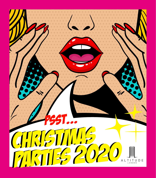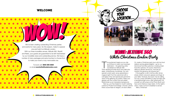WOW!





The excitement begins as you ride<br>up 29 floors to reach your evening's<br>destination – the gleaming white<br>wonderland of Altitude 360.<br>Think dazzling all-white floors and walls plus he excitement begins as you ride up 29 floors to reach your evening's destination – the gleaming white wonderland of Altitude 360. sleek, contemporary furnishings. Our very special London party venue guarantees a

## Venue: Altitude 360 Venue: Altitude 360 White Christmas London Party

magical night! You'll be welcomed with a cold glass of fizz and spectacular panoramic views of the glittering city skyline. Raise your glasses with the London Eye and stately Westminster as an impressive background. Next up, you'll be treated to mouth-watering cuisine by Private Food Design. Choose a divine three-course feast for elegant, sit-down affairs. If the laughter is still in full flow after dinner, simply refresh everyone's glasses and linger at your table. However, the music may be calling. Our top London SKYBAR DJ plays all night with a sensational light show. After adventures? Kit yourself out with props at the Photo Booth and have some hilarious snaps taken. At the night's close, a tasty survivor's breakfast is served. Merry Christmas!

Or, create a Christmas party buzz with live food stations serving global delights – go for ontrend bowl food (five options) or sizzling street food (five options). Of course, there'll be a delicious dessert served too. And did we mention the generous all-inclusive bar?

We've been creating outstanding Christmas parties and events for many years. So this season, make it a special one and hold it at Altitude London. With our three incredible venues, Altitude 360, Skyloft and Reels, your guests are guaranteed to be left mesmerised by our incredible views and outstanding service. We have a number of menu packages and extra touches to choose from to make your event a truly memorable one.

> To book call **0845 500 2929** or email **events@altitudelondon.com**

WELCOME NEED A CHOOSE your LOCATION.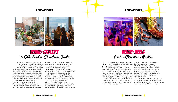![](_page_2_Picture_10.jpeg)

![](_page_2_Picture_11.jpeg)

![](_page_2_Picture_13.jpeg)

et the Christmas magic unfold with a<br>traditional gathering that Charles Dicken<br>would be proud of. Travel high above the<br>streets of old London town (28 storeys t<br>be precise) and step into the crackling warmth et the Christmas magic unfold with a traditional gathering that Charles Dickens would be proud of. Travel high above the streets of old London town (28 storeys to of our brick-walled den. Cosy nooks with plush seating and rustic wooden floors beckon you into this charming London party venue. As you sip on the welcome-glass of chilled prosecco – wander over to the vast windows. Gaze out at the flowing Thames, Westminster and the London Eye and soak up the capital's distinguished history, all laid before you.

When the dinner bell rings, ladies – pick up your skirts, and gentlemen – straighten your

## Venue: Skyloft Venue: REELS Venue: Skyloft Ye Olde London Christmas Party

cold flute of fizz starts the Christmas<br>
party here! Claim your glass when yo<br>
step inside this sleek bar space<br>
Surrounded by sparkling seasonal décor, you party here! Claim your glass when you step inside this sleek bar space **l** located right next to the Thames. and your companions are in for a night of good cheer. Now that the bubbles have whetted your appetite, it's time to feast. Help yourself to three varieties of tasty bowl food, whipped up by the top chefs at Private Food Design. The two-hour all-inclusive bar means the drinks flow as freely as the laughter. So enjoy yourselves with wine, beer and soft drinks – cheers! After you've dined, the dancefloor beckons. No one can resist our SKYBAR DJ's skills! Pull your friends to their feet and throw those shapes under a spectacular light show. This is indeed a night to remember, so don't forget a session in the photo booth. Dress up in the props provided and get yourself a seasonal souvenir. As the evening ends, you'll be rewarded with a sayoury survivor's breakfast. It's all part of the fun at this top London party venue – where better to celebrate the season?

cravats! It's time to saunter to the elegantly dressed tables. Please be seated to feast on three sumptuous courses, expertly created by Private Food Designs. Alternatively, there's the mouth-watering option of live food stations for an unforgettable Christmas party. Pick spicy street food delights (five dishes) or finger-lickin' bowl food (five dishes). Old-fashioned hospitality abounds with a free-flowing, all-inclusive bar.

Now, let us dance! Our talented SKYBAR DJ spins the finest tunes for merrymaking so a good time shall be had by all. For souvenirs, gather your friends for Photo Booth snaps. 'Tis the season to be jolly!

![](_page_2_Picture_7.jpeg)

## LOCATIONS LOCATIONS

![](_page_2_Picture_1.jpeg)

## Venue: REELS London Christmas Parties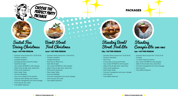![](_page_3_Picture_46.jpeg)

CHOOSE THE

PACKAGE

PERFECT PARTY

![](_page_3_Picture_47.jpeg)

![](_page_3_Picture_49.jpeg)

![](_page_3_Picture_0.jpeg)

# Seated Fine Dining Christmas

## £140 + VAT PER PERSON

- Exclusive venue access from 18:30-00:00
- Prosecco reception
- Canapés Reception
- Exceptional three course fine dining
- Open Bar all night
- Top London SKYBAR DJ with requests
- State-of-the-art light show, dance floor
- Photo booth experience
- Retro Sweet Treats
- Survivors Breakfast
- Use of your table(s) for the duration
- Fabulous table settings and crackers
- Full event management and venue manager
- Event security and medic
- Fully staffed cloakroom

## Bowl/Street Food Christmas

## £110 + VAT PER PERSON

- 2 hours beer, wine and soft drinks
- Top London SKYBAR DJ with requests
- State-of-the-art light show, dance floor
- Photo booth experience
- Retro Sweet Treats
- Full event management and venue manager
- Event security
- Fully staffed cloakroom
- Exclusive Venue access from 18.30-23.00
- Canapés
- 3 x drinks tokens per person
- Top London SKYBAR DJ with requests
- State-of-the-art light show, dance floor
- Full event management and venue manager
- Event security
- Fully staffed cloakroom

## (Level 1 only) **Standing** Canapés Lite £50 + VAT PER PERSON

- Exclusive venue access from 18.30-00.00
- Prosecco reception
- Canapés Reception
- Bowl food or Street food
- Open Bar all night
- Top London SKYBAR DJ with requests
- State-of-the-art light show, dance floor
- Photo booth experience
- Retro Sweet Treats
- Survivors Breakfast
- Full event management and venue manager
- Event security and medic
- Fully staffed cloakroom

## Standing Bowl/ Street Food Lite

## £85 + VAT PER PERSON

- Exclusive Venue access from 18.30-00.00
- Prosecco Reception
- Bowl Food

 $\bullet$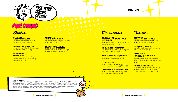![](_page_4_Picture_24.jpeg)

![](_page_4_Picture_25.jpeg)

**JERUSALEM ARTICHOKE SOUP** served with crispy shallots, toasted ficelle and chestnut butter  $(V)$   $(D)$   $(G)$ 

SERVED HOT **PAN SEARED SCALLOPS** served with chestnut velouté, apple and diced pancetta (M) (D) (SD)

served with cress, salad, apple gel, beetroot salsa, caviar and sourdough croutons (F) (SD) (G)

SERVED COLD **CHICKEN LIVER PARFAIT** served with a pear compote and crispy sourdough (D) (G)

served with a cinnamon crumble and a vegan vanilla custard (VG) (SD)

### **GIN AND BEETROOT CURED SALMON**

served with a toffee crumble and a vegan vanilla custard (VG) (GF)

### SERVED HOT **MULLED WINE SPICED PEAR**

## **CHOCOLATE PUDDING**

## SERVED COLD **VANILLA AND GINGERBREAD CHEESECAKE**

served with chocolate soil, stemmed ginger ice-cream and a honeycomb crumb  $(V)$   $(D)$   $(E)$   $(G)$ 

## **SEASONAL CHEESEBOARD**

a selection of three cheeses, sourdough crackers, quince and grapes (D) (G) £5.00 + VAT supplement per person

Desserts

### KEY TO ALLERGENS:

served with savoy cabbage, celeriac puree and a port reduction (SD) (D)

served with dauphinoise potatoes, baby leeks, dill and crème fraiche (F) (D)

served with mashed sweet potato, cranberries and vegan gravy (VG) (N) (CE)

![](_page_4_Picture_0.jpeg)

(CE) Celery / (G) Cereals containing gluten / (C) Crustaceans / (E) Eggs / (F) Fish / (L) Lupin / (D) Milk (Dairy) / (M) Molluscs / (MU) Mustard / (N) Nuts / (P) Peanuts / (S) Soya / (SS) Sesame Seeds / (SD) Sulphur Dioxide (sometimes know as sulphites) / (V) Vegetarian / (VG) Vegan. If you suffer from an allergy or intolerance, please notify a member of staff who would be pleased to help. Menus are seasonal and subject to change. Please check your quote for how many selections are included in your package. We highly recommend choosing a Meat, Fish and Vegan option from the selection.

![](_page_4_Picture_23.jpeg)

![](_page_4_Picture_1.jpeg)

**POTATO GNOCCHI WITH A PUMPKIN AND SAGE PESTO** Served with wilted spinach and vegan parmesan shavings (VG) (G) (N)

## Main courses

## ALL SERVED HOT **TURKEY BALLOTINE WITH MAPLE CURED BACON**

served with seasonal vegetables, cranberry gel and a pan gravy (CE) (G)

## **HONEY GLAZED DUCK BREAST**

## **ROASTED SCOTTISH SALMON FILLET**

# FINE DINING FINE DINING

## **Starters**

## **FESTIVE NUT ROAST**

## **CHARGRILLED CAULIFLOWER STEAK**

served with cannellini bean puree, salsa verde and crispy shallot rings (VG)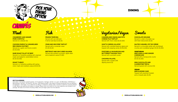![](_page_5_Picture_19.jpeg)

![](_page_5_Picture_21.jpeg)

Served in a dark chocolate cup with fresh redcurrants (D) (E)

## **CHOCOLATE MOUSSE**

## **SALTED CARAMEL POT DE CRÈME**

Served with a honeycomb crumb (D) (E) (G) (SD)

**CLEMENTINE TRIFLE**  Served layered with coconut (G)

Served in a chocolate tartlet with shortbread crumbs and crystallised ginger (D) (E) (G) (SD)

## **VEGETARIAN**

### **VEGAN MINI ALMOND CAKE**

Topped with poached rhubarb and a rhubarb jelly (G) (N)

![](_page_5_Picture_34.jpeg)

**CRANBERRY AND GINGER PORK CHIPOTLE** Served on a skewer (G)

### **MINI VANILLA AND GINGER CHEESECAKE**

## **MINI CHOCOLATE AND**

**CRAB AND GRUYERE TARTLET** Served with a coriander cress  $(C)$   $(D)$   $(G)$   $(E)$ 

Sweets

**CHICKEN PARFAIT & CARAMELISED RED ONION CHUTNEY** Served on a garlic and thyme crostini (D) (G) (SD)

> **PORTOBELLO MUSHROOM AND BUTTERNUT SQUASH TACO** Served with a pumpkin puree

**CHICKPEA FALAFEL** Served with a sweet chilli dipping sauce (G)

**RARE ROAST FILLET OF BEEF** Served in a Yorkshire pudding with creamed mash and balsamic caramelised onions (E) (D) (G) (SD)

(CE) Celery / (G) Cereals containing gluten / (C) Crustaceans / (E) Eggs / (F) Fish / (L) Lupin / (D) Milk (Dairy) / (M) Molluscs / (MU) Mustard / (N) Nuts / (P) Peanuts / (S) Soya / (SS) Sesame Seeds / (SD) Sulphur Dioxide (sometimes know as sulphites) / (V) Vegetarian / (VG) Vegan. If you suffer from an allergy or intolerance, please notify a member of staff who would be pleased to help. Menus are seasonal and subject to change. Please check your quote for how many selections are included in your package. We highly recommend choosing a Meat, Fish and Vegan option from the selection. **THERE AND GINGER**<br> **PORK CHIPOTLE**<br> **PORK CHIPOTLE**<br> **PORK CHIPOTLE**<br> **Served** on a skewer (G)<br> **CHICKEN PARFAIT & CARAMELISED**<br> **Served** on a gartic and thyme crossini<br> **RARE ROAST FILLET OF BEEF**<br> **Served** on a gartic

**ROAST TURKEY** Served in a Yorkshire pudding with spring onion mash and cranberry sauce (D) (E) (G)

**PRAWN TEMPURA** Served with red chilli and A lemon aioli dip (C) (E) (G)

![](_page_5_Picture_0.jpeg)

![](_page_5_Picture_1.jpeg)

**BEETROOT AND GIN CURED SALMON** Served with pickled cucumber, apple relish and a beetroot caviar (F) (SD)

**CHEESE FILO TARTLET** Served with micro cress (G) (D) (SD)

**GOAT'S CHEESE LOLLIPOP** Served with a pickled beetroot glaze and topped with popping candy (D) (N) (SD)

![](_page_5_Picture_12.jpeg)

KEY TO ALLERGENS:

# CANAPES CANAPES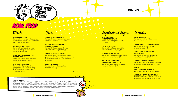![](_page_6_Picture_29.jpeg)

![](_page_6_Picture_30.jpeg)

![](_page_6_Picture_31.jpeg)

## **SLICED ROAST BEEF**

Served with thyme roast potatoes, honey glazed chantilly carrots and a shallot and port reduction sauce (SD)

Served with parsnip mash, seasonal greens and a chicken jus (CE)

## **SLOW ROASTED TURKEY**

Served with roast potatoes, sage and onion stuffing, brussels sprouts and cranberry sauce (G)

Served with baby new potatoes, spring onions and a plum dressing (S). Potatoes can be exchanged for seasonal greens

Served warm with a Baileys cream (G) (D) (E) (SD)

## **LEMON AND SAGE CORN FED CHICKEN BREAST**

Served with crystallised ginger and spiced biscuit base (G) (D) (E)

## **SMOKED DUCK SALAD**

Served warm with a pecan and cinnamon crumb and vanilla custard (G) (D) (N) (E)

## **VEGAN MULLED WINE POACHED PEARS**

Served warm with a vegan custard (SD)

Served warm with a pecan and cinnamon crumb and vegan vanilla custard (G) (N)

![](_page_6_Picture_45.jpeg)

## **MINI MINCE PIES**

**CLASSIC FISH AND CHIPS** Served with mushy peas, tartare sauce

**ORANGE AND CINNAMON GLAZED SALMON** Served with flaked jasmine rice and seasonal charred vegetables (F)

## **WARM DOUBLE CHOCOLATE CAKE**

Served with crushed clementine and vanilla custard (D)

## **VANILLA AND CLEMENTINE CHEESECAKE**

Served with baby new potatoes, roasted peppers, swiss chard and preserved lemons in a tomato sauce over a bed of couscous (CE) (F) (G)

Served with green beans, olives, tomatoes and egg (F) (E)

## **STILTON, APPLE & WATERCRESS SALAD** Served with honey glazed walnuts  $(D)$   $(N)$   $(E)$

### **APPLE & CARAMEL CRUMBLE**

## **VEGAN FISH AND CHIPS** Served with mushy peas, vegan tartare sauce and a slice of lemon (G)

Served with wilted spinach and vegan parmesan shavings (G) (N)

## **APPLE AND CARAMEL CRUMBLE**

![](_page_6_Picture_1.jpeg)

and a slice of lemon (F) (D) (G) (E)

## **SAFFRON SEABASS TAGINE**

## **SALMON NIÇOISE**

Meat Sweets Fish Vegetarian/Vegan

**FESTIVE NUT ROAST**

Served with mashed sweet potato, cranberries and vegan gravy (N) (CE)

## **POTATO GNOCCHI WITH A PUMPKIN AND SAGE PESTO**

# BOWL FOOD BOWL FOOD

![](_page_6_Picture_0.jpeg)

### KEY TO ALLERGENS:

(CE) Celery / (G) Cereals containing gluten / (C) Crustaceans / (E) Eggs / (F) Fish / (L) Lupin / (D) Milk (Dairy) / (M) Molluscs / (MU) Mustard / (N) Nuts / (P) Peanuts / (S) Soya / (SS) Sesame Seeds / (SD) Sulphur Dioxide (sometimes know as sulphites) / (V) Vegetarian / (VG) Vegan. If you suffer from an allergy or intolerance, please notify a member of staff who would be pleased to help. Menus are seasonal and subject to change. Please check your quote for how many selections are included in your package. We highly recommend choosing a Meat, Fish and Vegan option from the selection.